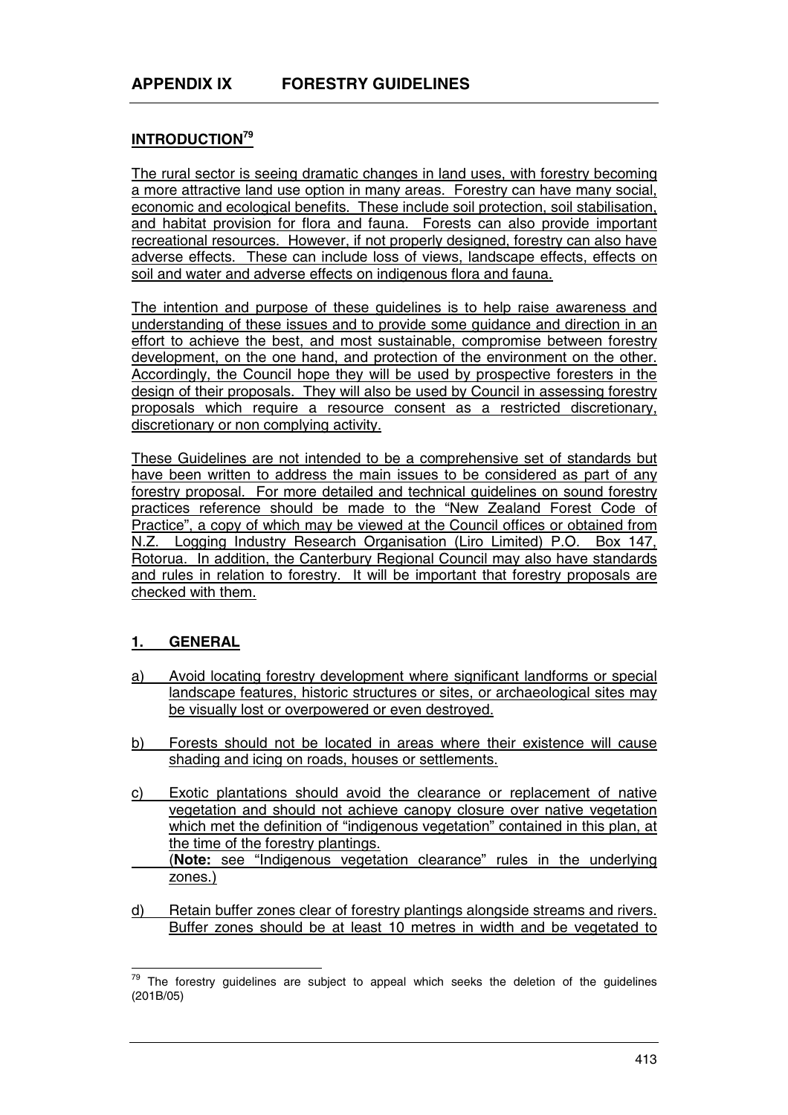## **INTRODUCTION79**

The rural sector is seeing dramatic changes in land uses, with forestry becoming a more attractive land use option in many areas. Forestry can have many social, economic and ecological benefits. These include soil protection, soil stabilisation, and habitat provision for flora and fauna. Forests can also provide important recreational resources. However, if not properly designed, forestry can also have adverse effects. These can include loss of views, landscape effects, effects on soil and water and adverse effects on indigenous flora and fauna.

The intention and purpose of these guidelines is to help raise awareness and understanding of these issues and to provide some guidance and direction in an effort to achieve the best, and most sustainable, compromise between forestry development, on the one hand, and protection of the environment on the other. Accordingly, the Council hope they will be used by prospective foresters in the design of their proposals. They will also be used by Council in assessing forestry proposals which require a resource consent as a restricted discretionary, discretionary or non complying activity.

These Guidelines are not intended to be a comprehensive set of standards but have been written to address the main issues to be considered as part of any forestry proposal. For more detailed and technical guidelines on sound forestry practices reference should be made to the "New Zealand Forest Code of Practice", a copy of which may be viewed at the Council offices or obtained from N.Z. Logging Industry Research Organisation (Liro Limited) P.O. Box 147, Rotorua. In addition, the Canterbury Regional Council may also have standards and rules in relation to forestry. It will be important that forestry proposals are checked with them.

## **1. GENERAL**

- a) Avoid locating forestry development where significant landforms or special landscape features, historic structures or sites, or archaeological sites may be visually lost or overpowered or even destroyed.
- b) Forests should not be located in areas where their existence will cause shading and icing on roads, houses or settlements.
- c) Exotic plantations should avoid the clearance or replacement of native vegetation and should not achieve canopy closure over native vegetation which met the definition of "indigenous vegetation" contained in this plan, at the time of the forestry plantings.
- (**Note:** see "Indigenous vegetation clearance" rules in the underlying zones.)
- d) Retain buffer zones clear of forestry plantings alongside streams and rivers. Buffer zones should be at least 10 metres in width and be vegetated to

 $\overline{a}$  $79$  The forestry guidelines are subject to appeal which seeks the deletion of the guidelines (201B/05)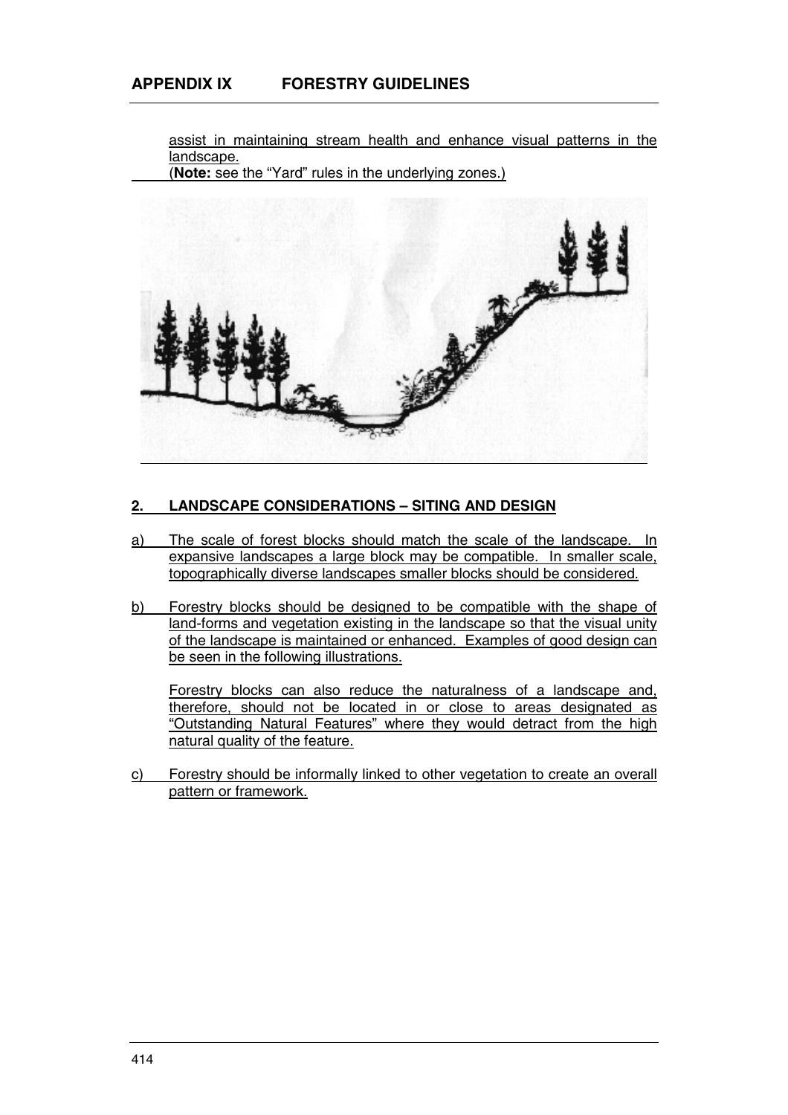assist in maintaining stream health and enhance visual patterns in the landscape.

(**Note:** see the "Yard" rules in the underlying zones.)



#### **2. LANDSCAPE CONSIDERATIONS – SITING AND DESIGN**

- a) The scale of forest blocks should match the scale of the landscape. In expansive landscapes a large block may be compatible. In smaller scale, topographically diverse landscapes smaller blocks should be considered.
- b) Forestry blocks should be designed to be compatible with the shape of land-forms and vegetation existing in the landscape so that the visual unity of the landscape is maintained or enhanced. Examples of good design can be seen in the following illustrations.

Forestry blocks can also reduce the naturalness of a landscape and, therefore, should not be located in or close to areas designated as "Outstanding Natural Features" where they would detract from the high natural quality of the feature.

c) Forestry should be informally linked to other vegetation to create an overall pattern or framework.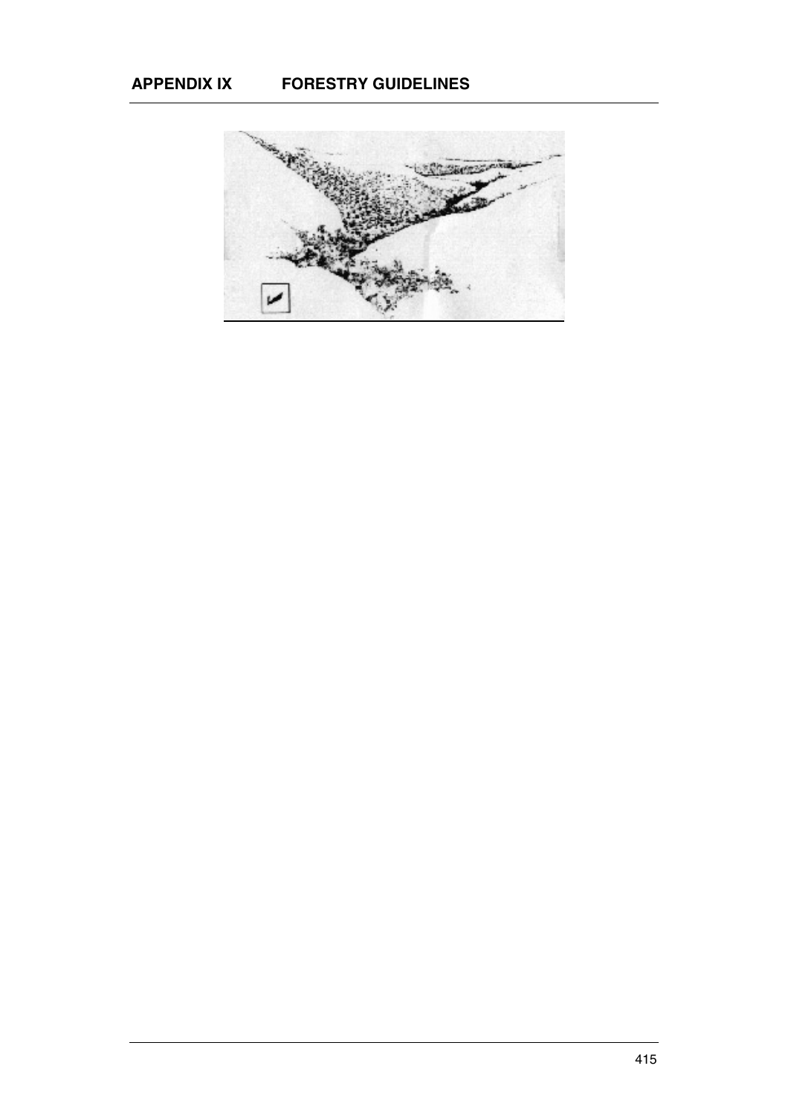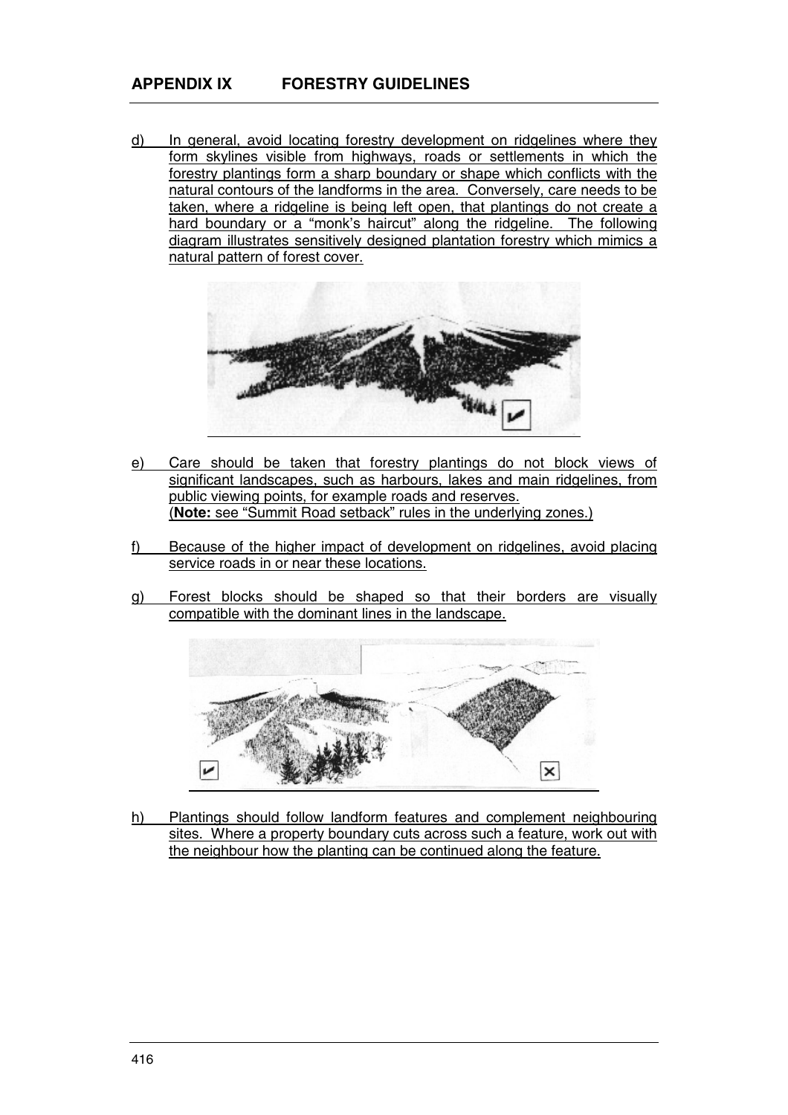d) In general, avoid locating forestry development on ridgelines where they form skylines visible from highways, roads or settlements in which the forestry plantings form a sharp boundary or shape which conflicts with the natural contours of the landforms in the area. Conversely, care needs to be taken, where a ridgeline is being left open, that plantings do not create a hard boundary or a "monk's haircut" along the ridgeline. The following diagram illustrates sensitively designed plantation forestry which mimics a natural pattern of forest cover.



- e) Care should be taken that forestry plantings do not block views of significant landscapes, such as harbours, lakes and main ridgelines, from public viewing points, for example roads and reserves. (**Note:** see "Summit Road setback" rules in the underlying zones.)
- f) Because of the higher impact of development on ridgelines, avoid placing service roads in or near these locations.
- g) Forest blocks should be shaped so that their borders are visually compatible with the dominant lines in the landscape.



h) Plantings should follow landform features and complement neighbouring sites. Where a property boundary cuts across such a feature, work out with the neighbour how the planting can be continued along the feature.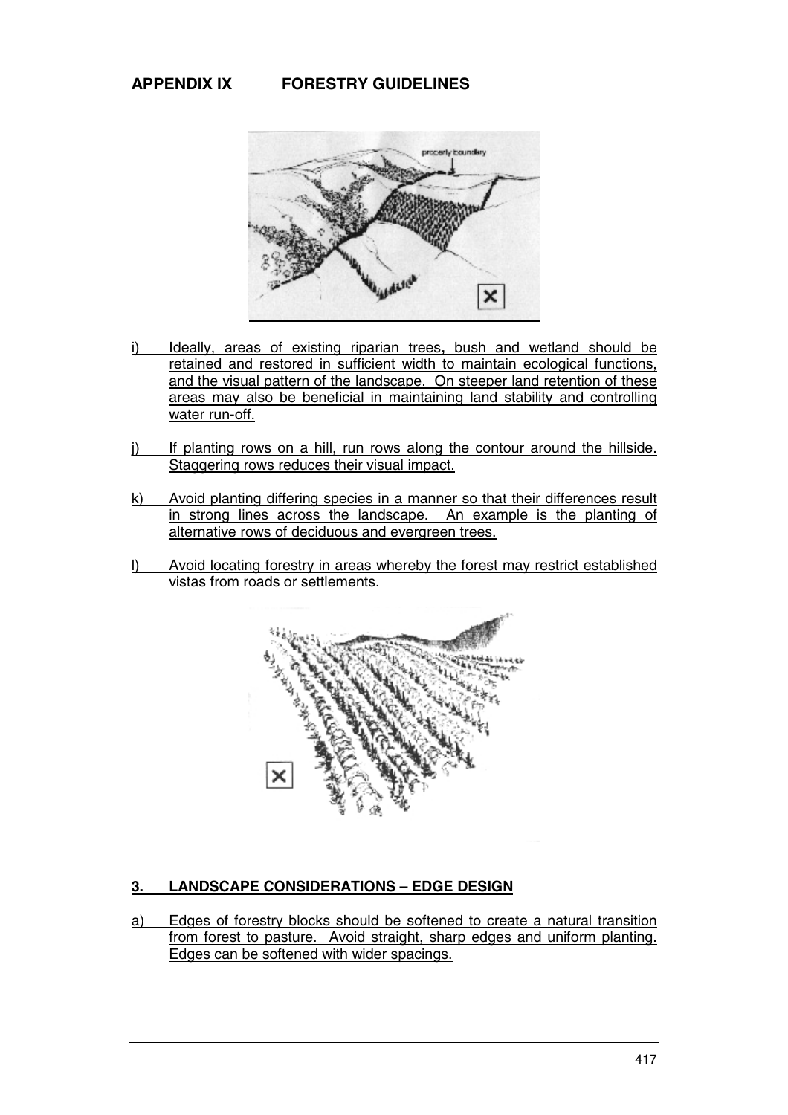

- i) Ideally, areas of existing riparian trees**,** bush and wetland should be retained and restored in sufficient width to maintain ecological functions, and the visual pattern of the landscape. On steeper land retention of these areas may also be beneficial in maintaining land stability and controlling water run-off.
- j) If planting rows on a hill, run rows along the contour around the hillside. Staggering rows reduces their visual impact.
- k) Avoid planting differing species in a manner so that their differences result in strong lines across the landscape. An example is the planting of alternative rows of deciduous and evergreen trees.
- l) Avoid locating forestry in areas whereby the forest may restrict established vistas from roads or settlements.



## **3. LANDSCAPE CONSIDERATIONS – EDGE DESIGN**

a) Edges of forestry blocks should be softened to create a natural transition from forest to pasture. Avoid straight, sharp edges and uniform planting. Edges can be softened with wider spacings.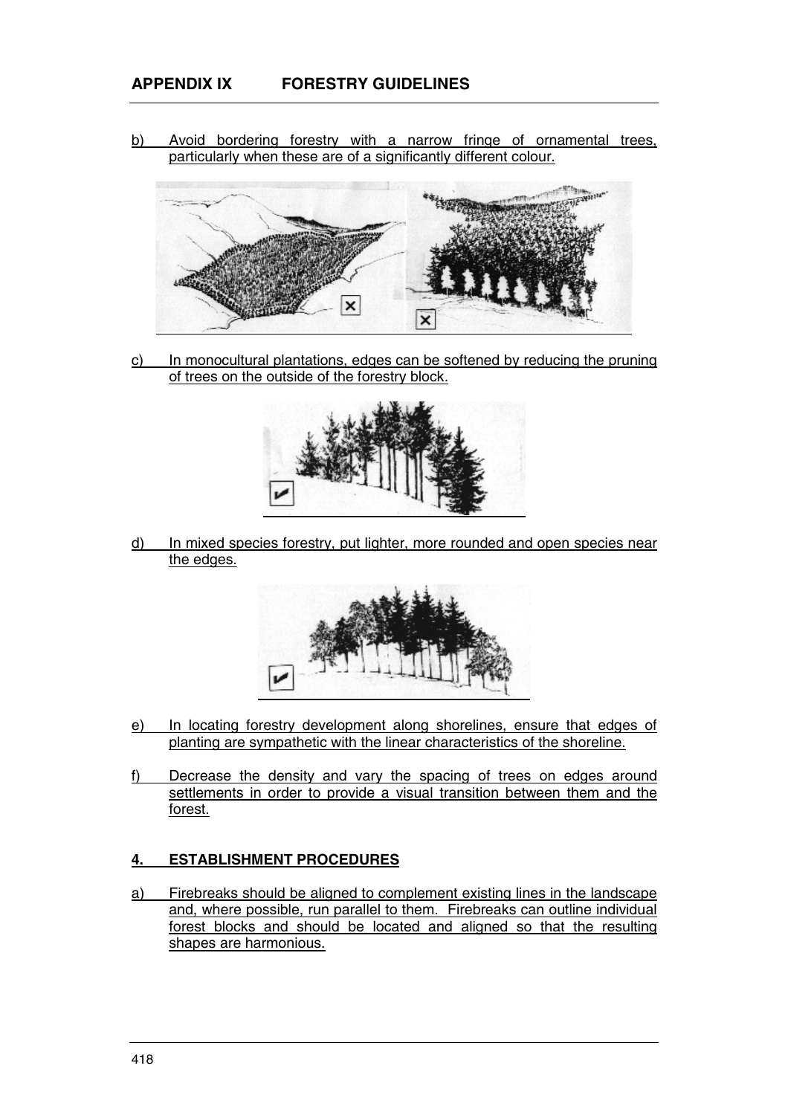b) Avoid bordering forestry with a narrow fringe of ornamental trees, particularly when these are of a significantly different colour.



c) In monocultural plantations, edges can be softened by reducing the pruning of trees on the outside of the forestry block.



d) In mixed species forestry, put lighter, more rounded and open species near the edges.



- e) In locating forestry development along shorelines, ensure that edges of planting are sympathetic with the linear characteristics of the shoreline.
- f) Decrease the density and vary the spacing of trees on edges around settlements in order to provide a visual transition between them and the forest.

#### **4. ESTABLISHMENT PROCEDURES**

a) Firebreaks should be aligned to complement existing lines in the landscape and, where possible, run parallel to them. Firebreaks can outline individual forest blocks and should be located and aligned so that the resulting shapes are harmonious.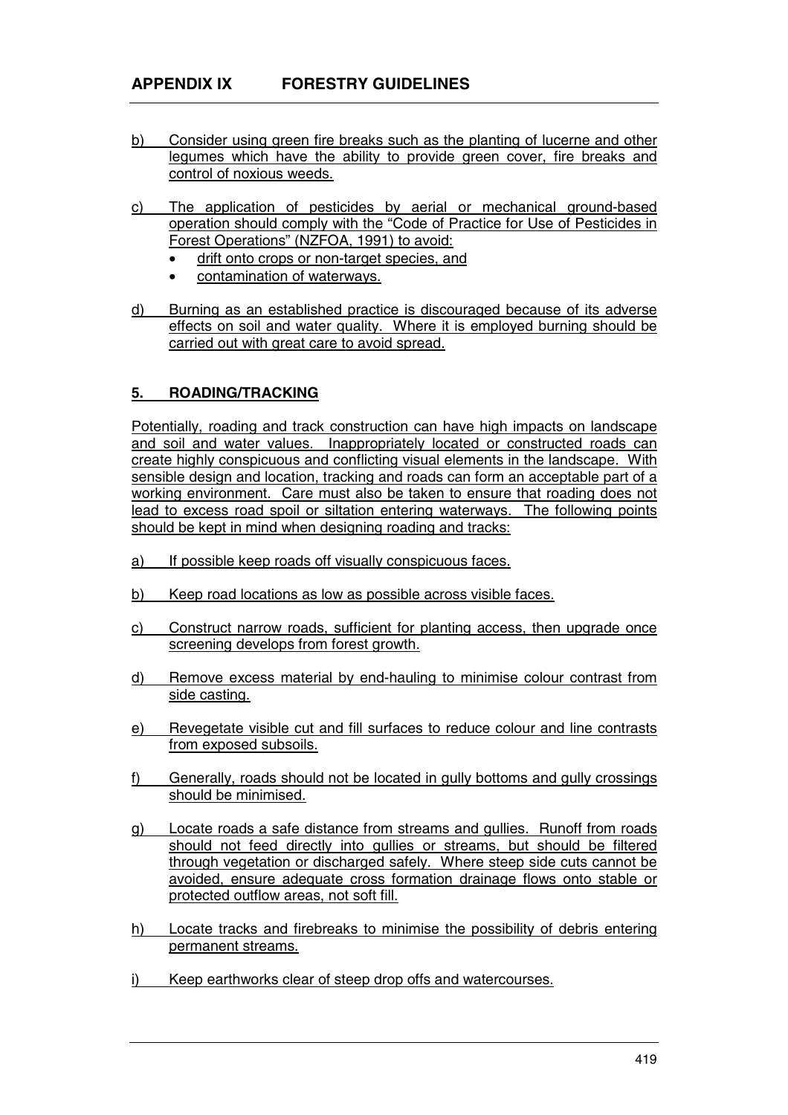- b) Consider using green fire breaks such as the planting of lucerne and other legumes which have the ability to provide green cover, fire breaks and control of noxious weeds.
- c) The application of pesticides by aerial or mechanical ground-based operation should comply with the "Code of Practice for Use of Pesticides in Forest Operations" (NZFOA, 1991) to avoid:
	- drift onto crops or non-target species, and
	- contamination of waterways.
- d) Burning as an established practice is discouraged because of its adverse effects on soil and water quality. Where it is employed burning should be carried out with great care to avoid spread.

#### **5. ROADING/TRACKING**

Potentially, roading and track construction can have high impacts on landscape and soil and water values. Inappropriately located or constructed roads can create highly conspicuous and conflicting visual elements in the landscape. With sensible design and location, tracking and roads can form an acceptable part of a working environment. Care must also be taken to ensure that roading does not lead to excess road spoil or siltation entering waterways. The following points should be kept in mind when designing roading and tracks:

- a) If possible keep roads off visually conspicuous faces.
- b) Keep road locations as low as possible across visible faces.
- c) Construct narrow roads, sufficient for planting access, then upgrade once screening develops from forest growth.
- d) Remove excess material by end-hauling to minimise colour contrast from side casting.
- e) Revegetate visible cut and fill surfaces to reduce colour and line contrasts from exposed subsoils.
- f) Generally, roads should not be located in gully bottoms and gully crossings should be minimised.
- g) Locate roads a safe distance from streams and gullies. Runoff from roads should not feed directly into gullies or streams, but should be filtered through vegetation or discharged safely. Where steep side cuts cannot be avoided, ensure adequate cross formation drainage flows onto stable or protected outflow areas, not soft fill.
- h) Locate tracks and firebreaks to minimise the possibility of debris entering permanent streams.
- i) Keep earthworks clear of steep drop offs and watercourses.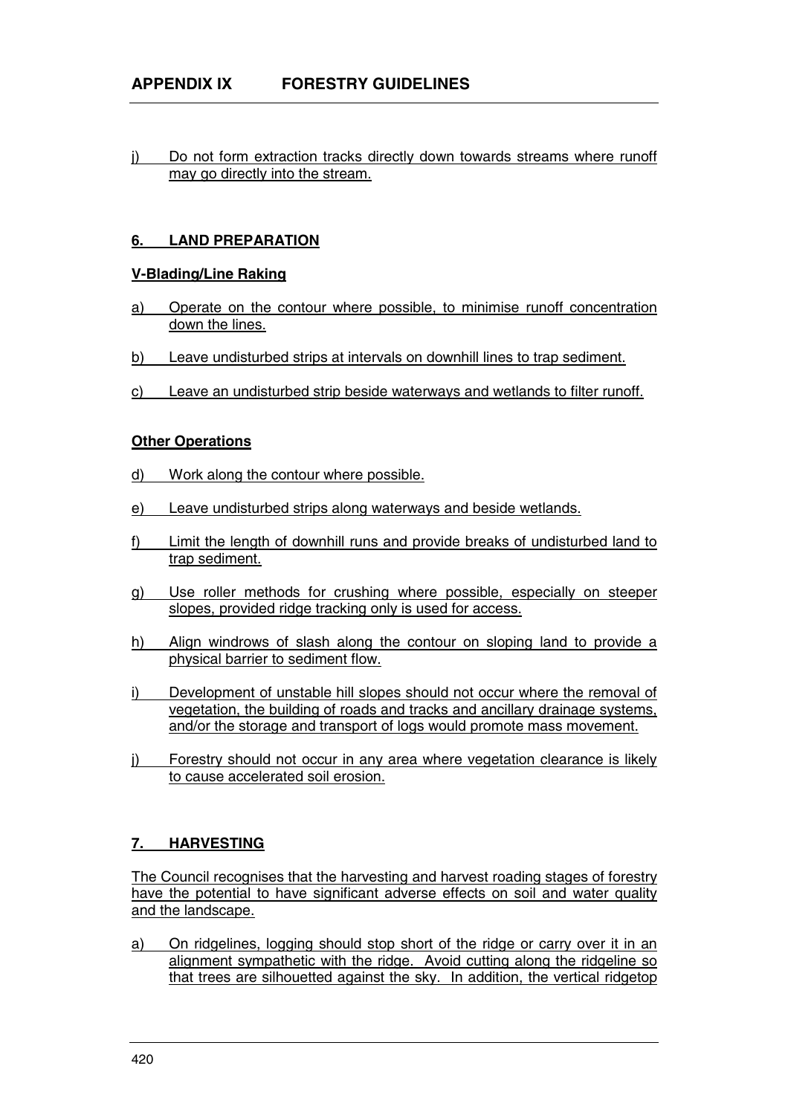j) Do not form extraction tracks directly down towards streams where runoff may go directly into the stream.

### **6. LAND PREPARATION**

#### **V-Blading/Line Raking**

- a) Operate on the contour where possible, to minimise runoff concentration down the lines.
- b) Leave undisturbed strips at intervals on downhill lines to trap sediment.
- c) Leave an undisturbed strip beside waterways and wetlands to filter runoff.

#### **Other Operations**

- d) Work along the contour where possible.
- e) Leave undisturbed strips along waterways and beside wetlands.
- f) Limit the length of downhill runs and provide breaks of undisturbed land to trap sediment.
- g) Use roller methods for crushing where possible, especially on steeper slopes, provided ridge tracking only is used for access.
- h) Align windrows of slash along the contour on sloping land to provide a physical barrier to sediment flow.
- i) Development of unstable hill slopes should not occur where the removal of vegetation, the building of roads and tracks and ancillary drainage systems, and/or the storage and transport of logs would promote mass movement.
- j) Forestry should not occur in any area where vegetation clearance is likely to cause accelerated soil erosion.

## **7. HARVESTING**

The Council recognises that the harvesting and harvest roading stages of forestry have the potential to have significant adverse effects on soil and water quality and the landscape.

a) On ridgelines, logging should stop short of the ridge or carry over it in an alignment sympathetic with the ridge. Avoid cutting along the ridgeline so that trees are silhouetted against the sky. In addition, the vertical ridgetop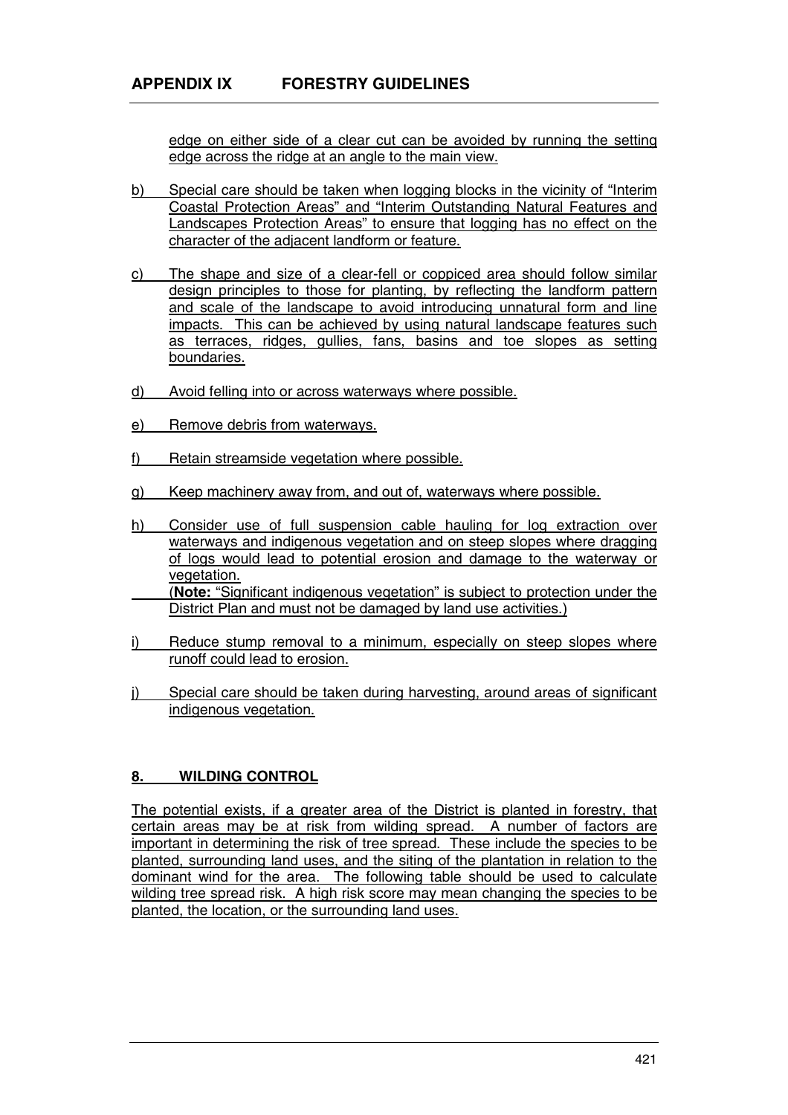edge on either side of a clear cut can be avoided by running the setting edge across the ridge at an angle to the main view.

- b) Special care should be taken when logging blocks in the vicinity of "Interim Coastal Protection Areas" and "Interim Outstanding Natural Features and Landscapes Protection Areas" to ensure that logging has no effect on the character of the adjacent landform or feature.
- c) The shape and size of a clear-fell or coppiced area should follow similar design principles to those for planting, by reflecting the landform pattern and scale of the landscape to avoid introducing unnatural form and line impacts. This can be achieved by using natural landscape features such as terraces, ridges, gullies, fans, basins and toe slopes as setting boundaries.
- d) Avoid felling into or across waterways where possible.
- e) Remove debris from waterways.
- f) Retain streamside vegetation where possible.
- g) Keep machinery away from, and out of, waterways where possible.
- h) Consider use of full suspension cable hauling for log extraction over waterways and indigenous vegetation and on steep slopes where dragging of logs would lead to potential erosion and damage to the waterway or vegetation. (**Note:** "Significant indigenous vegetation" is subject to protection under the District Plan and must not be damaged by land use activities.)
- i) Reduce stump removal to a minimum, especially on steep slopes where runoff could lead to erosion.
- j) Special care should be taken during harvesting, around areas of significant indigenous vegetation.

#### **8. WILDING CONTROL**

The potential exists, if a greater area of the District is planted in forestry, that certain areas may be at risk from wilding spread. A number of factors are important in determining the risk of tree spread. These include the species to be planted, surrounding land uses, and the siting of the plantation in relation to the dominant wind for the area. The following table should be used to calculate wilding tree spread risk. A high risk score may mean changing the species to be planted, the location, or the surrounding land uses.